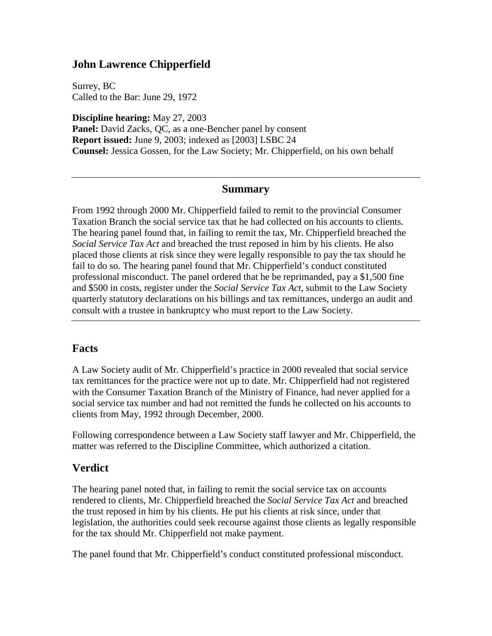## **John Lawrence Chipperfield**

Surrey, BC Called to the Bar: June 29, 1972

**Discipline hearing:** May 27, 2003 Panel: David Zacks, QC, as a one-Bencher panel by consent **Report issued:** June 9, 2003; indexed as [2003] LSBC 24 **Counsel:** Jessica Gossen, for the Law Society; Mr. Chipperfield, on his own behalf

#### **Summary**

From 1992 through 2000 Mr. Chipperfield failed to remit to the provincial Consumer Taxation Branch the social service tax that he had collected on his accounts to clients. The hearing panel found that, in failing to remit the tax, Mr. Chipperfield breached the *Social Service Tax Act* and breached the trust reposed in him by his clients. He also placed those clients at risk since they were legally responsible to pay the tax should he fail to do so. The hearing panel found that Mr. Chipperfield's conduct constituted professional misconduct. The panel ordered that he be reprimanded, pay a \$1,500 fine and \$500 in costs, register under the *Social Service Tax Act*, submit to the Law Society quarterly statutory declarations on his billings and tax remittances, undergo an audit and consult with a trustee in bankruptcy who must report to the Law Society.

### **Facts**

A Law Society audit of Mr. Chipperfield's practice in 2000 revealed that social service tax remittances for the practice were not up to date. Mr. Chipperfield had not registered with the Consumer Taxation Branch of the Ministry of Finance, had never applied for a social service tax number and had not remitted the funds he collected on his accounts to clients from May, 1992 through December, 2000.

Following correspondence between a Law Society staff lawyer and Mr. Chipperfield, the matter was referred to the Discipline Committee, which authorized a citation.

## **Verdict**

The hearing panel noted that, in failing to remit the social service tax on accounts rendered to clients, Mr. Chipperfield breached the *Social Service Tax Act* and breached the trust reposed in him by his clients. He put his clients at risk since, under that legislation, the authorities could seek recourse against those clients as legally responsible for the tax should Mr. Chipperfield not make payment.

The panel found that Mr. Chipperfield's conduct constituted professional misconduct.